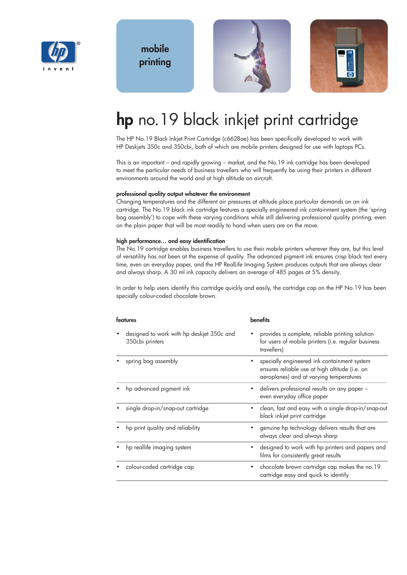

**mobile printing**



# **hp** no.19 black inkjet print cartridge

The HP No.19 Black Inkjet Print Cartridge (c6628ae) has been specifically developed to work with HP Deskjets 350c and 350cbi, both of which are mobile printers designed for use with laptops PCs.

This is an important – and rapidly growing – market, and the No.19 ink cartridge has been developed to meet the particular needs of business travellers who will frequently be using their printers in different environments around the world and at high altitude on aircraft.

#### **professional quality output whatever the environment**

Changing temperatures and the different air pressures at altitude place particular demands on an ink cartridge. The No.19 black ink cartridge features a specially engineered ink containment system (the 'spring bag assembly') to cope with these varying conditions while still delivering professional quality printing, even on the plain paper that will be most readily to hand when users are on the move.

#### **high performance… and easy identification**

The No.19 cartridge enables business travellers to use their mobile printers wherever they are, but this level of versatility has not been at the expense of quality. The advanced pigment ink ensures crisp black text every time, even on everyday paper, and the HP RealLife Imaging System produces outputs that are always clear and always sharp. A 30 ml ink capacity delivers an average of 485 pages at 5% density.

In order to help users identify this cartridge quickly and easily, the cartridge cap on the HP No.19 has been specially colour-coded chocolate brown.

| features                                                     | <b>benefits</b>                                                                                                                          |
|--------------------------------------------------------------|------------------------------------------------------------------------------------------------------------------------------------------|
| designed to work with hp deskjet 350c and<br>350cbi printers | provides a complete, reliable printing solution<br>for users of mobile printers (i.e. regular business<br>travellers)                    |
| spring bag assembly                                          | specially engineered ink containment system<br>ensures reliable use at high altitude (i.e. on<br>aeroplanes) and at varying temperatures |
| hp advanced pigment ink                                      | delivers professional results on any paper -<br>even everyday office paper                                                               |
| single drop-in/snap-out cartridge                            | clean, fast and easy with a single drop-in/snap-out<br>black inkjet print cartridge                                                      |
| hp print quality and reliability                             | genuine hp technology delivers results that are<br>always clear and always sharp                                                         |
| hp reallife imaging system                                   | designed to work with hp printers and papers and<br>films for consistently great results                                                 |
| colour-coded cartridge cap                                   | chocolate brown cartridge cap makes the no.19<br>cartridge easy and quick to identify                                                    |
|                                                              |                                                                                                                                          |